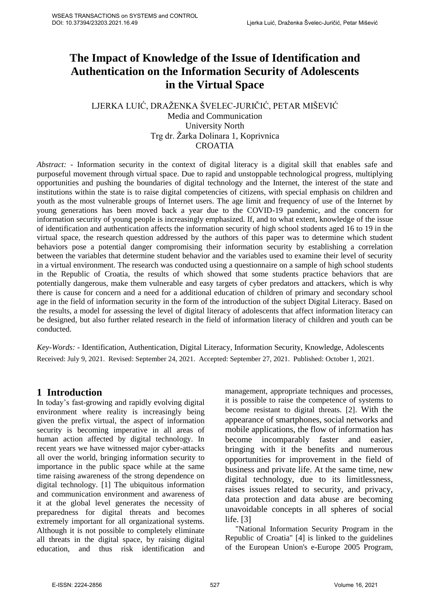# **The Impact of Knowledge of the Issue of Identification and Authentication on the Information Security of Adolescents in the Virtual Space**

## LJERKA LUIĆ, DRAŽENKA ŠVELEC-JURIČIĆ, PETAR MIŠEVIĆ Media and Communication University North Trg dr. Žarka Dolinara 1, Koprivnica CROATIA

*Abstract:* - Information security in the context of digital literacy is a digital skill that enables safe and purposeful movement through virtual space. Due to rapid and unstoppable technological progress, multiplying opportunities and pushing the boundaries of digital technology and the Internet, the interest of the state and institutions within the state is to raise digital competencies of citizens, with special emphasis on children and youth as the most vulnerable groups of Internet users. The age limit and frequency of use of the Internet by young generations has been moved back a year due to the COVID-19 pandemic, and the concern for information security of young people is increasingly emphasized. If, and to what extent, knowledge of the issue of identification and authentication affects the information security of high school students aged 16 to 19 in the virtual space, the research question addressed by the authors of this paper was to determine which student behaviors pose a potential danger compromising their information security by establishing a correlation between the variables that determine student behavior and the variables used to examine their level of security in a virtual environment. The research was conducted using a questionnaire on a sample of high school students in the Republic of Croatia, the results of which showed that some students practice behaviors that are potentially dangerous, make them vulnerable and easy targets of cyber predators and attackers, which is why there is cause for concern and a need for a additional education of children of primary and secondary school age in the field of information security in the form of the introduction of the subject Digital Literacy. Based on the results, a model for assessing the level of digital literacy of adolescents that affect information literacy can be designed, but also further related research in the field of information literacy of children and youth can be conducted.

*Key-Words: -* Identification, Authentication, Digital Literacy, Information Security, Knowledge, Adolescents Received: July 9, 2021. Revised: September 24, 2021. Accepted: September 27, 2021. Published: October 1, 2021.

# **1 Introduction**

In today's fast-growing and rapidly evolving digital environment where reality is increasingly being given the prefix virtual, the aspect of information security is becoming imperative in all areas of human action affected by digital technology. In recent years we have witnessed major cyber-attacks all over the world, bringing information security to importance in the public space while at the same time raising awareness of the strong dependence on digital technology. [1] The ubiquitous information and communication environment and awareness of it at the global level generates the necessity of preparedness for digital threats and becomes extremely important for all organizational systems. Although it is not possible to completely eliminate all threats in the digital space, by raising digital education, and thus risk identification and management, appropriate techniques and processes, it is possible to raise the competence of systems to become resistant to digital threats. [2]. With the appearance of smartphones, social networks and mobile applications, the flow of information has become incomparably faster and easier, bringing with it the benefits and numerous opportunities for improvement in the field of business and private life. At the same time, new digital technology, due to its limitlessness, raises issues related to security, and privacy, data protection and data abuse are becoming unavoidable concepts in all spheres of social life. [3]

"National Information Security Program in the Republic of Croatia" [4] is linked to the guidelines of the European Union's e-Europe 2005 Program,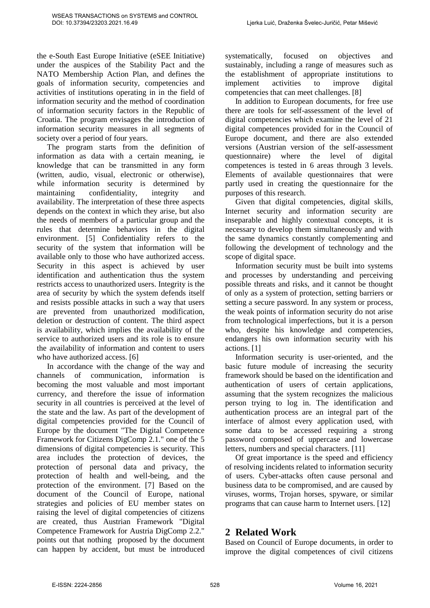the e-South East Europe Initiative (eSEE Initiative) under the auspices of the Stability Pact and the NATO Membership Action Plan, and defines the goals of information security, competencies and activities of institutions operating in in the field of information security and the method of coordination of information security factors in the Republic of Croatia. The program envisages the introduction of information security measures in all segments of society over a period of four years.

The program starts from the definition of information as data with a certain meaning, ie knowledge that can be transmitted in any form (written, audio, visual, electronic or otherwise), while information security is determined by maintaining confidentiality, integrity and availability. The interpretation of these three aspects depends on the context in which they arise, but also the needs of members of a particular group and the rules that determine behaviors in the digital environment. [5] Confidentiality refers to the security of the system that information will be available only to those who have authorized access. Security in this aspect is achieved by user identification and authentication thus the system restricts access to unauthorized users. Integrity is the area of security by which the system defends itself and resists possible attacks in such a way that users are prevented from unauthorized modification, deletion or destruction of content. The third aspect is availability, which implies the availability of the service to authorized users and its role is to ensure the availability of information and content to users who have authorized access. [6]

In accordance with the change of the way and channels of communication, information is becoming the most valuable and most important currency, and therefore the issue of information security in all countries is perceived at the level of the state and the law. As part of the development of digital competencies provided for the Council of Europe by the document "The Digital Competence Framework for Citizens DigComp 2.1." one of the 5 dimensions of digital competencies is security. This area includes the protection of devices, the protection of personal data and privacy, the protection of health and well-being, and the protection of the environment. [7] Based on the document of the Council of Europe, national strategies and policies of EU member states on raising the level of digital competencies of citizens are created, thus Austrian Framework "Digital Competence Framework for Austria DigComp 2.2." points out that nothing proposed by the document can happen by accident, but must be introduced systematically, focused on objectives and sustainably, including a range of measures such as the establishment of appropriate institutions to implement activities to improve digital competencies that can meet challenges. [8]

In addition to European documents, for free use there are tools for self-assessment of the level of digital competencies which examine the level of 21 digital competences provided for in the Council of Europe document, and there are also extended versions (Austrian version of the self-assessment questionnaire) where the level of digital competences is tested in 6 areas through 3 levels. Elements of available questionnaires that were partly used in creating the questionnaire for the purposes of this research.

Given that digital competencies, digital skills, Internet security and information security are inseparable and highly contextual concepts, it is necessary to develop them simultaneously and with the same dynamics constantly complementing and following the development of technology and the scope of digital space.

Information security must be built into systems and processes by understanding and perceiving possible threats and risks, and it cannot be thought of only as a system of protection, setting barriers or setting a secure password. In any system or process, the weak points of information security do not arise from technological imperfections, but it is a person who, despite his knowledge and competencies, endangers his own information security with his actions. [1]

Information security is user-oriented, and the basic future module of increasing the security framework should be based on the identification and authentication of users of certain applications, assuming that the system recognizes the malicious person trying to log in. The identification and authentication process are an integral part of the interface of almost every application used, with some data to be accessed requiring a strong password composed of uppercase and lowercase letters, numbers and special characters. [11]

Of great importance is the speed and efficiency of resolving incidents related to information security of users. Cyber-attacks often cause personal and business data to be compromised, and are caused by viruses, worms, Trojan horses, spyware, or similar programs that can cause harm to Internet users. [12]

# **2 Related Work**

Based on Council of Europe documents, in order to improve the digital competences of civil citizens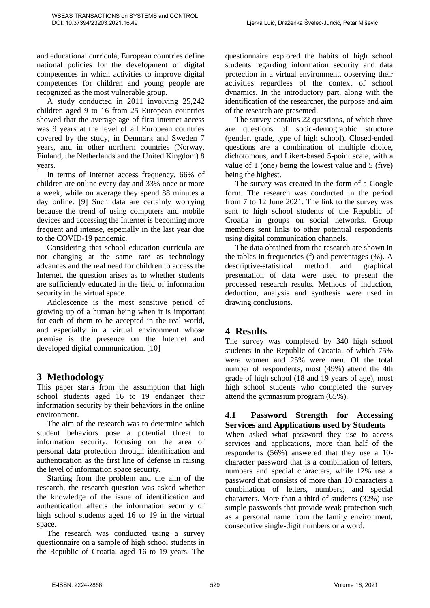and educational curricula, European countries define national policies for the development of digital competences in which activities to improve digital competences for children and young people are recognized as the most vulnerable group.

A study conducted in 2011 involving 25,242 children aged 9 to 16 from 25 European countries showed that the average age of first internet access was 9 years at the level of all European countries covered by the study, in Denmark and Sweden 7 years, and in other northern countries (Norway, Finland, the Netherlands and the United Kingdom) 8 years.

In terms of Internet access frequency, 66% of children are online every day and 33% once or more a week, while on average they spend 88 minutes a day online. [9] Such data are certainly worrying because the trend of using computers and mobile devices and accessing the Internet is becoming more frequent and intense, especially in the last year due to the COVID-19 pandemic.

Considering that school education curricula are not changing at the same rate as technology advances and the real need for children to access the Internet, the question arises as to whether students are sufficiently educated in the field of information security in the virtual space.

Adolescence is the most sensitive period of growing up of a human being when it is important for each of them to be accepted in the real world, and especially in a virtual environment whose premise is the presence on the Internet and developed digital communication. [10]

# **3 Methodology**

This paper starts from the assumption that high school students aged 16 to 19 endanger their information security by their behaviors in the online environment.

The aim of the research was to determine which student behaviors pose a potential threat to information security, focusing on the area of personal data protection through identification and authentication as the first line of defense in raising the level of information space security.

Starting from the problem and the aim of the research, the research question was asked whether the knowledge of the issue of identification and authentication affects the information security of high school students aged 16 to 19 in the virtual space.

The research was conducted using a survey questionnaire on a sample of high school students in the Republic of Croatia, aged 16 to 19 years. The questionnaire explored the habits of high school students regarding information security and data protection in a virtual environment, observing their activities regardless of the context of school dynamics. In the introductory part, along with the identification of the researcher, the purpose and aim of the research are presented.

The survey contains 22 questions, of which three are questions of socio-demographic structure (gender, grade, type of high school). Closed-ended questions are a combination of multiple choice, dichotomous, and Likert-based 5-point scale, with a value of 1 (one) being the lowest value and 5 (five) being the highest.

The survey was created in the form of a Google form. The research was conducted in the period from 7 to 12 June 2021. The link to the survey was sent to high school students of the Republic of Croatia in groups on social networks. Group members sent links to other potential respondents using digital communication channels.

The data obtained from the research are shown in the tables in frequencies (f) and percentages (%). A descriptive-statistical method and graphical presentation of data were used to present the processed research results. Methods of induction, deduction, analysis and synthesis were used in drawing conclusions.

# **4 Results**

The survey was completed by 340 high school students in the Republic of Croatia, of which 75% were women and 25% were men. Of the total number of respondents, most (49%) attend the 4th grade of high school (18 and 19 years of age), most high school students who completed the survey attend the gymnasium program (65%).

#### **4.1 Password Strength for Accessing Services and Applications used by Students**

When asked what password they use to access services and applications, more than half of the respondents (56%) answered that they use a 10 character password that is a combination of letters, numbers and special characters, while 12% use a password that consists of more than 10 characters a combination of letters, numbers, and special characters. More than a third of students (32%) use simple passwords that provide weak protection such as a personal name from the family environment, consecutive single-digit numbers or a word.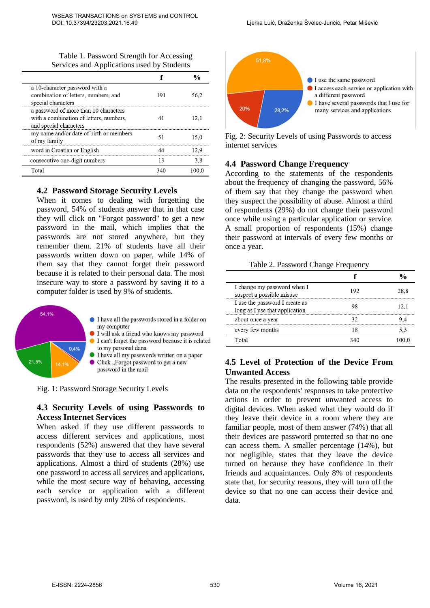Table 1. Password Strength for Accessing Services and Applications used by Students

| a 10-character password with a<br>combination of letters, numbers, and<br>special characters               | 191 | 56.2  |
|------------------------------------------------------------------------------------------------------------|-----|-------|
| a password of more than 10 characters<br>with a combination of letters, numbers,<br>and special characters |     | 12. I |
| my name and/or date of birth or members<br>of my family                                                    |     | 15.0  |
| word in Croatian or English                                                                                |     |       |
| consecutive one-digit numbers                                                                              | 13  | 3.8   |
| Total                                                                                                      |     | -00.  |

#### **4.2 Password Storage Security Levels**

When it comes to dealing with forgetting the password, 54% of students answer that in that case they will click on "Forgot password" to get a new password in the mail, which implies that the passwords are not stored anywhere, but they remember them. 21% of students have all their passwords written down on paper, while 14% of them say that they cannot forget their password because it is related to their personal data. The most insecure way to store a password by saving it to a computer folder is used by 9% of students.



Fig. 1: Password Storage Security Levels

#### **4.3 Security Levels of using Passwords to Access Internet Services**

When asked if they use different passwords to access different services and applications, most respondents (52%) answered that they have several passwords that they use to access all services and applications. Almost a third of students (28%) use one password to access all services and applications, while the most secure way of behaving, accessing each service or application with a different password, is used by only 20% of respondents.



Fig. 2: Security Levels of using Passwords to access internet services

# **4.4 Password Change Frequency**

According to the statements of the respondents about the frequency of changing the password, 56% of them say that they change the password when they suspect the possibility of abuse. Almost a third of respondents (29%) do not change their password once while using a particular application or service. A small proportion of respondents (15%) change their password at intervals of every few months or once a year.

#### Table 2. Password Change Frequency

| I change my password when I<br>suspect a possible misuse         | 192 |  |
|------------------------------------------------------------------|-----|--|
| I use the password I create as<br>long as I use that application |     |  |
| about once a year                                                |     |  |
| every few months                                                 |     |  |
| Total                                                            |     |  |

### **4.5 Level of Protection of the Device From Unwanted Access**

The results presented in the following table provide data on the respondents' responses to take protective actions in order to prevent unwanted access to digital devices. When asked what they would do if they leave their device in a room where they are familiar people, most of them answer (74%) that all their devices are password protected so that no one can access them. A smaller percentage (14%), but not negligible, states that they leave the device turned on because they have confidence in their friends and acquaintances. Only 8% of respondents state that, for security reasons, they will turn off the device so that no one can access their device and data.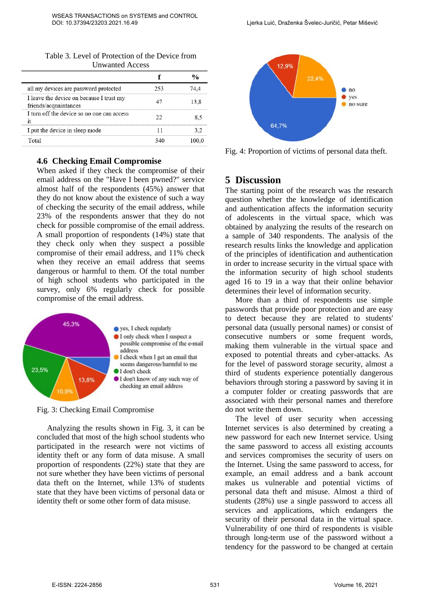| Table 3. Level of Protection of the Device from |
|-------------------------------------------------|
| <b>Unwanted Access</b>                          |

| all my devices are password protected                             |  |
|-------------------------------------------------------------------|--|
| I leave the device on because I trust my<br>friends/acquaintances |  |
| I turn off the device so no one can access                        |  |
| I put the device in sleep mode                                    |  |
| Total                                                             |  |

#### **4.6 Checking Email Compromise**

When asked if they check the compromise of their email address on the "Have I been pwned?" service almost half of the respondents (45%) answer that they do not know about the existence of such a way of checking the security of the email address, while 23% of the respondents answer that they do not check for possible compromise of the email address. A small proportion of respondents (14%) state that they check only when they suspect a possible compromise of their email address, and 11% check when they receive an email address that seems dangerous or harmful to them. Of the total number of high school students who participated in the survey, only 6% regularly check for possible compromise of the email address.



Fig. 3: Checking Email Compromise

Analyzing the results shown in Fig. 3, it can be concluded that most of the high school students who participated in the research were not victims of identity theft or any form of data misuse. A small proportion of respondents (22%) state that they are not sure whether they have been victims of personal data theft on the Internet, while 13% of students state that they have been victims of personal data or identity theft or some other form of data misuse.



Fig. 4: Proportion of victims of personal data theft.

#### **5 Discussion**

The starting point of the research was the research question whether the knowledge of identification and authentication affects the information security of adolescents in the virtual space, which was obtained by analyzing the results of the research on a sample of 340 respondents. The analysis of the research results links the knowledge and application of the principles of identification and authentication in order to increase security in the virtual space with the information security of high school students aged 16 to 19 in a way that their online behavior determines their level of information security.

More than a third of respondents use simple passwords that provide poor protection and are easy to detect because they are related to students' personal data (usually personal names) or consist of consecutive numbers or some frequent words, making them vulnerable in the virtual space and exposed to potential threats and cyber-attacks. As for the level of password storage security, almost a third of students experience potentially dangerous behaviors through storing a password by saving it in a computer folder or creating passwords that are associated with their personal names and therefore do not write them down.

The level of user security when accessing Internet services is also determined by creating a new password for each new Internet service. Using the same password to access all existing accounts and services compromises the security of users on the Internet. Using the same password to access, for example, an email address and a bank account makes us vulnerable and potential victims of personal data theft and misuse. Almost a third of students (28%) use a single password to access all services and applications, which endangers the security of their personal data in the virtual space. Vulnerability of one third of respondents is visible through long-term use of the password without a tendency for the password to be changed at certain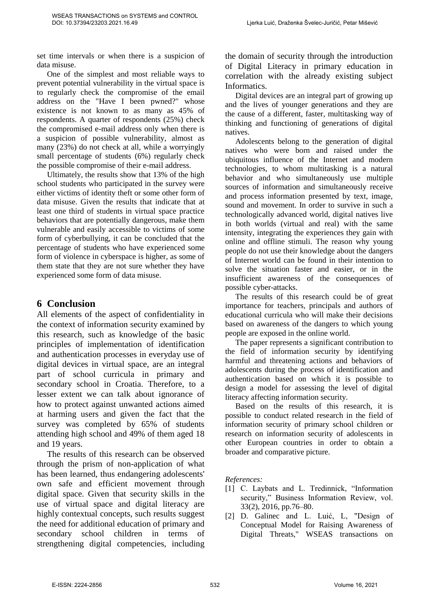set time intervals or when there is a suspicion of data misuse.

One of the simplest and most reliable ways to prevent potential vulnerability in the virtual space is to regularly check the compromise of the email address on the "Have I been pwned?" whose existence is not known to as many as 45% of respondents. A quarter of respondents (25%) check the compromised e-mail address only when there is a suspicion of possible vulnerability, almost as many (23%) do not check at all, while a worryingly small percentage of students (6%) regularly check the possible compromise of their e-mail address.

Ultimately, the results show that 13% of the high school students who participated in the survey were either victims of identity theft or some other form of data misuse. Given the results that indicate that at least one third of students in virtual space practice behaviors that are potentially dangerous, make them vulnerable and easily accessible to victims of some form of cyberbullying, it can be concluded that the percentage of students who have experienced some form of violence in cyberspace is higher, as some of them state that they are not sure whether they have experienced some form of data misuse.

# **6 Conclusion**

All elements of the aspect of confidentiality in the context of information security examined by this research, such as knowledge of the basic principles of implementation of identification and authentication processes in everyday use of digital devices in virtual space, are an integral part of school curricula in primary and secondary school in Croatia. Therefore, to a lesser extent we can talk about ignorance of how to protect against unwanted actions aimed at harming users and given the fact that the survey was completed by 65% of students attending high school and 49% of them aged 18 and 19 years.

The results of this research can be observed through the prism of non-application of what has been learned, thus endangering adolescents' own safe and efficient movement through digital space. Given that security skills in the use of virtual space and digital literacy are highly contextual concepts, such results suggest the need for additional education of primary and secondary school children in terms of strengthening digital competencies, including the domain of security through the introduction of Digital Literacy in primary education in correlation with the already existing subject Informatics.

Digital devices are an integral part of growing up and the lives of younger generations and they are the cause of a different, faster, multitasking way of thinking and functioning of generations of digital natives.

Adolescents belong to the generation of digital natives who were born and raised under the ubiquitous influence of the Internet and modern technologies, to whom multitasking is a natural behavior and who simultaneously use multiple sources of information and simultaneously receive and process information presented by text, image, sound and movement. In order to survive in such a technologically advanced world, digital natives live in both worlds (virtual and real) with the same intensity, integrating the experiences they gain with online and offline stimuli. The reason why young people do not use their knowledge about the dangers of Internet world can be found in their intention to solve the situation faster and easier, or in the insufficient awareness of the consequences of possible cyber-attacks.

The results of this research could be of great importance for teachers, principals and authors of educational curricula who will make their decisions based on awareness of the dangers to which young people are exposed in the online world.

The paper represents a significant contribution to the field of information security by identifying harmful and threatening actions and behaviors of adolescents during the process of identification and authentication based on which it is possible to design a model for assessing the level of digital literacy affecting information security.

Based on the results of this research, it is possible to conduct related research in the field of information security of primary school children or research on information security of adolescents in other European countries in order to obtain a broader and comparative picture.

*References:* 

- [1] C. Laybats and L. Tredinnick, "Information security," Business Information Review, vol. 33(2), 2016, pp.76–80.
- [2] D. Galinec and L. Luić, L, "Design of Conceptual Model for Raising Awareness of Digital Threats," WSEAS transactions on